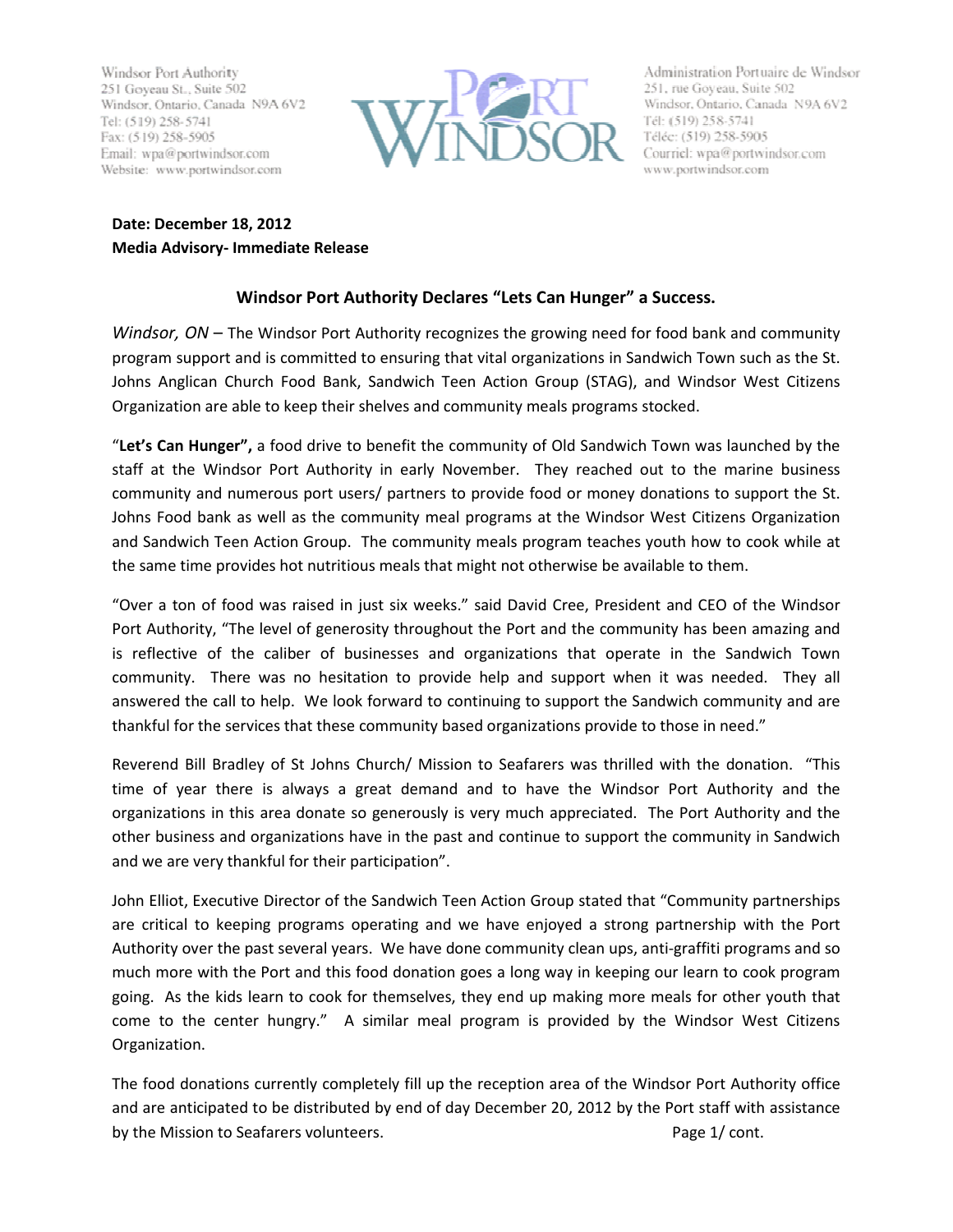Windsor Port Authority 251 Goyeau St., Suite 502 Windsor, Ontario, Canada N9A 6V2 Tel: (519) 258-5741 Fax: (519) 258-5905 Email: wpa@portwindsor.com Website: www.portwindsor.com



Administration Portuaire de Windsor 251, rue Goyeau, Suite 502 Windsor, Ontario, Canada N9A 6V2 Tél: (519) 258-5741 Téléc: (519) 258-5905 Courriel: wpa@portwindsor.com www.portwindsor.com

Date: December 18, 2012 Media Advisory- Immediate Release

## Windsor Port Authority Declares "Lets Can Hunger" a Success.

Windsor,  $ON$  – The Windsor Port Authority recognizes the growing need for food bank and community program support and is committed to ensuring that vital organizations in Sandwich Town such as the St. Johns Anglican Church Food Bank, Sandwich Teen Action Group (STAG), and Windsor West Citizens Organization are able to keep their shelves and community meals programs stocked.

"Let's Can Hunger", a food drive to benefit the community of Old Sandwich Town was launched by the staff at the Windsor Port Authority in early November. They reached out to the marine business community and numerous port users/ partners to provide food or money donations to support the St. Johns Food bank as well as the community meal programs at the Windsor West Citizens Organization and Sandwich Teen Action Group. The community meals program teaches youth how to cook while at the same time provides hot nutritious meals that might not otherwise be available to them.

"Over a ton of food was raised in just six weeks." said David Cree, President and CEO of the Windsor Port Authority, "The level of generosity throughout the Port and the community has been amazing and is reflective of the caliber of businesses and organizations that operate in the Sandwich Town community. There was no hesitation to provide help and support when it was needed. They all answered the call to help. We look forward to continuing to support the Sandwich community and are thankful for the services that these community based organizations provide to those in need."

Reverend Bill Bradley of St Johns Church/ Mission to Seafarers was thrilled with the donation. "This time of year there is always a great demand and to have the Windsor Port Authority and the organizations in this area donate so generously is very much appreciated. The Port Authority and the other business and organizations have in the past and continue to support the community in Sandwich and we are very thankful for their participation".

John Elliot, Executive Director of the Sandwich Teen Action Group stated that "Community partnerships are critical to keeping programs operating and we have enjoyed a strong partnership with the Port Authority over the past several years. We have done community clean ups, anti-graffiti programs and so much more with the Port and this food donation goes a long way in keeping our learn to cook program going. As the kids learn to cook for themselves, they end up making more meals for other youth that come to the center hungry." A similar meal program is provided by the Windsor West Citizens Organization.

The food donations currently completely fill up the reception area of the Windsor Port Authority office and are anticipated to be distributed by end of day December 20, 2012 by the Port staff with assistance by the Mission to Seafarers volunteers. The example of the Mission of Page 1/ cont.